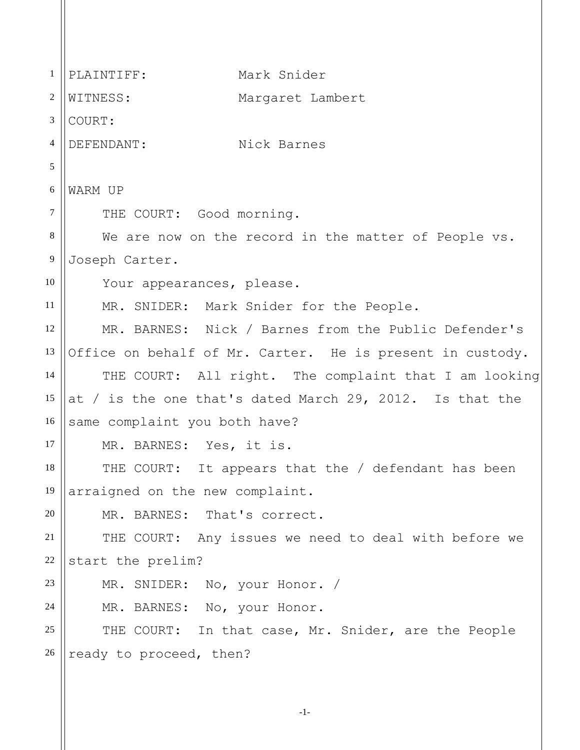1 2 3 4 5 6 7 8 9 10 11 12 13 14 15 16 17 18 19 20 21 22 23 24 25 26 PLAINTIFF: Mark Snider WITNESS: Margaret Lambert COURT: DEFENDANT: Nick Barnes WARM UP THE COURT: Good morning. We are now on the record in the matter of People vs. Joseph Carter. Your appearances, please. MR. SNIDER: Mark Snider for the People. MR. BARNES: Nick / Barnes from the Public Defender's Office on behalf of Mr. Carter. He is present in custody. THE COURT: All right. The complaint that I am looking at / is the one that's dated March 29, 2012. Is that the same complaint you both have? MR. BARNES: Yes, it is. THE COURT: It appears that the / defendant has been arraigned on the new complaint. MR. BARNES: That's correct. THE COURT: Any issues we need to deal with before we start the prelim? MR. SNIDER: No, your Honor. / MR. BARNES: No, your Honor. THE COURT: In that case, Mr. Snider, are the People ready to proceed, then?

-1-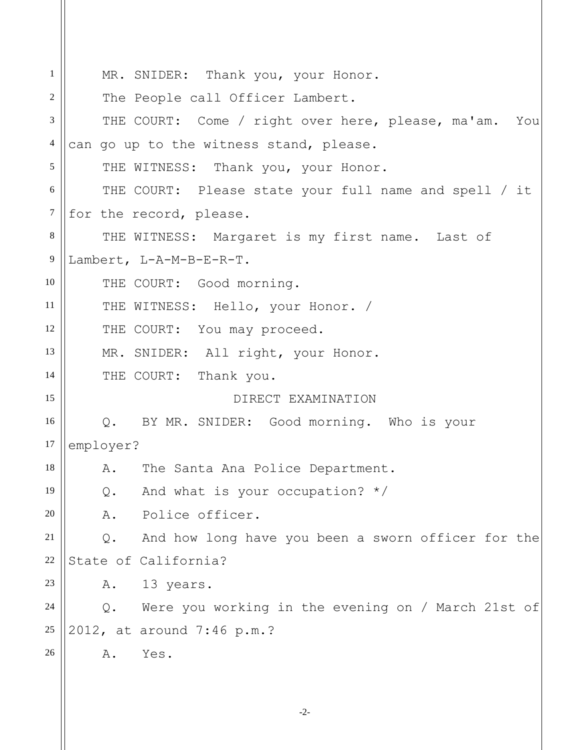| $\mathbf{1}$   | MR. SNIDER: Thank you, your Honor.                          |
|----------------|-------------------------------------------------------------|
| 2              | The People call Officer Lambert.                            |
| 3              | THE COURT: Come / right over here, please, ma'am. You       |
| 4              | can go up to the witness stand, please.                     |
| 5              | THE WITNESS: Thank you, your Honor.                         |
| 6              | THE COURT: Please state your full name and spell / it       |
| 7              | for the record, please.                                     |
| 8              | THE WITNESS: Margaret is my first name. Last of             |
| $\overline{9}$ | Lambert, L-A-M-B-E-R-T.                                     |
| 10             | THE COURT: Good morning.                                    |
| 11             | THE WITNESS: Hello, your Honor. /                           |
| 12             | THE COURT: You may proceed.                                 |
| 13             | MR. SNIDER: All right, your Honor.                          |
| 14             | THE COURT: Thank you.                                       |
| 15             | DIRECT EXAMINATION                                          |
| 16             | Q. BY MR. SNIDER: Good morning. Who is your                 |
| 17             | employer?                                                   |
| 18             | The Santa Ana Police Department.<br>A.                      |
| 19             | And what is your occupation? $*/$<br>$Q$ .                  |
| 20             | Police officer.<br>Α.                                       |
| 21             | And how long have you been a sworn officer for the<br>$Q$ . |
| 22             | State of California?                                        |
| 23             | 13 years.<br>Α.                                             |
| 24             | Were you working in the evening on / March 21st of<br>$Q$ . |
| 25             | 2012, at around 7:46 p.m.?                                  |
| 26             | Yes.<br>Α.                                                  |
|                |                                                             |
|                |                                                             |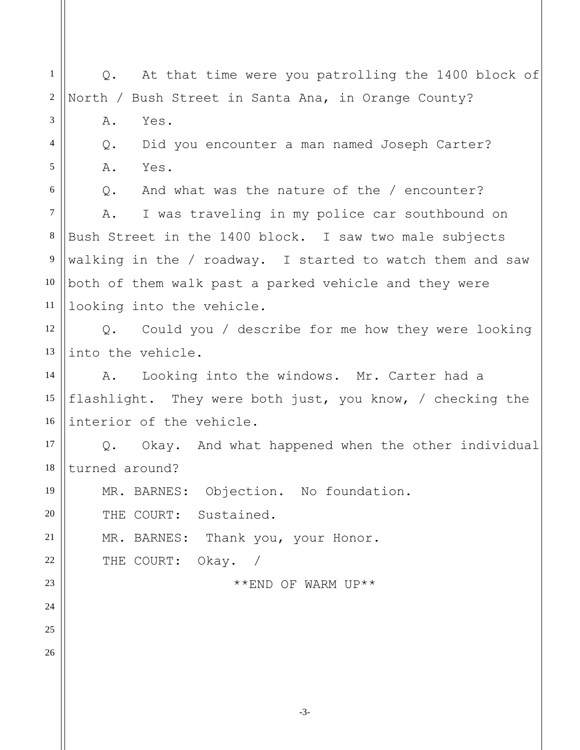1 2 3 4 5 6 7 8 9 10 11 12 13 14 15 16 17 18 19 20 21 22 23 24 25 26 Q. At that time were you patrolling the 1400 block of North / Bush Street in Santa Ana, in Orange County? A. Yes. Q. Did you encounter a man named Joseph Carter? A. Yes. Q. And what was the nature of the / encounter? A. I was traveling in my police car southbound on Bush Street in the 1400 block. I saw two male subjects walking in the / roadway. I started to watch them and saw both of them walk past a parked vehicle and they were looking into the vehicle. Q. Could you / describe for me how they were looking into the vehicle. A. Looking into the windows. Mr. Carter had a flashlight. They were both just, you know, / checking the interior of the vehicle. Q. Okay. And what happened when the other individual turned around? MR. BARNES: Objection. No foundation. THE COURT: Sustained. MR. BARNES: Thank you, your Honor. THE COURT: Okay. / \*\*END OF WARM UP\*\*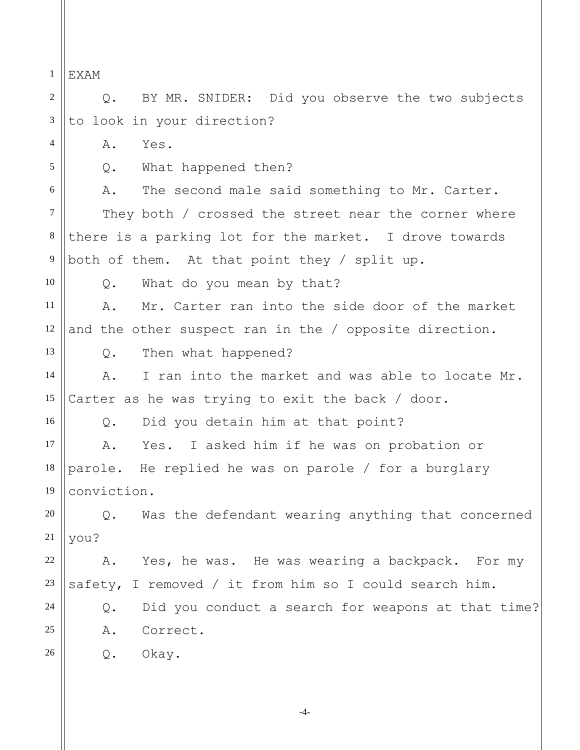1 2 3 4 5 6 7 8 9 10 11 12 13 14 15 16 17 18 19 20 21 22 23 24 25 26 EXAM Q. BY MR. SNIDER: Did you observe the two subjects to look in your direction? A. Yes. Q. What happened then? A. The second male said something to Mr. Carter. They both / crossed the street near the corner where there is a parking lot for the market. I drove towards both of them. At that point they / split up. Q. What do you mean by that? A. Mr. Carter ran into the side door of the market and the other suspect ran in the / opposite direction. Q. Then what happened? A. I ran into the market and was able to locate Mr. Carter as he was trying to exit the back / door. Q. Did you detain him at that point? A. Yes. I asked him if he was on probation or parole. He replied he was on parole / for a burglary conviction. Q. Was the defendant wearing anything that concerned you? A. Yes, he was. He was wearing a backpack. For my safety, I removed / it from him so I could search him. Q. Did you conduct a search for weapons at that time? A. Correct. Q. Okay.

-4-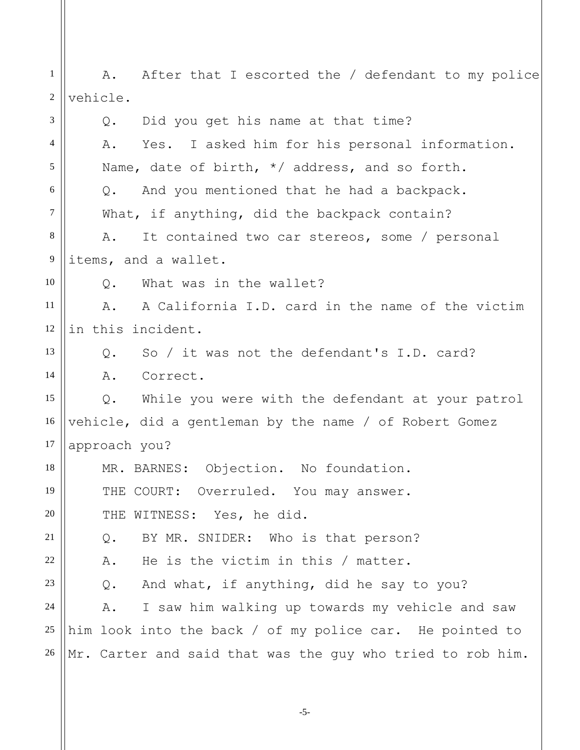1 2 3 4 5 6 7 8 9 10 11 12 13 14 15 16 17 18 19 20 21 22 23 24 25 26 A. After that I escorted the / defendant to my police vehicle. Q. Did you get his name at that time? A. Yes. I asked him for his personal information. Name, date of birth, \*/ address, and so forth. Q. And you mentioned that he had a backpack. What, if anything, did the backpack contain? A. It contained two car stereos, some / personal items, and a wallet. Q. What was in the wallet? A. A California I.D. card in the name of the victim in this incident. Q. So / it was not the defendant's I.D. card? A. Correct. Q. While you were with the defendant at your patrol vehicle, did a gentleman by the name / of Robert Gomez approach you? MR. BARNES: Objection. No foundation. THE COURT: Overruled. You may answer. THE WITNESS: Yes, he did. Q. BY MR. SNIDER: Who is that person? A. He is the victim in this / matter. Q. And what, if anything, did he say to you? A. I saw him walking up towards my vehicle and saw him look into the back / of my police car. He pointed to Mr. Carter and said that was the guy who tried to rob him.

-5-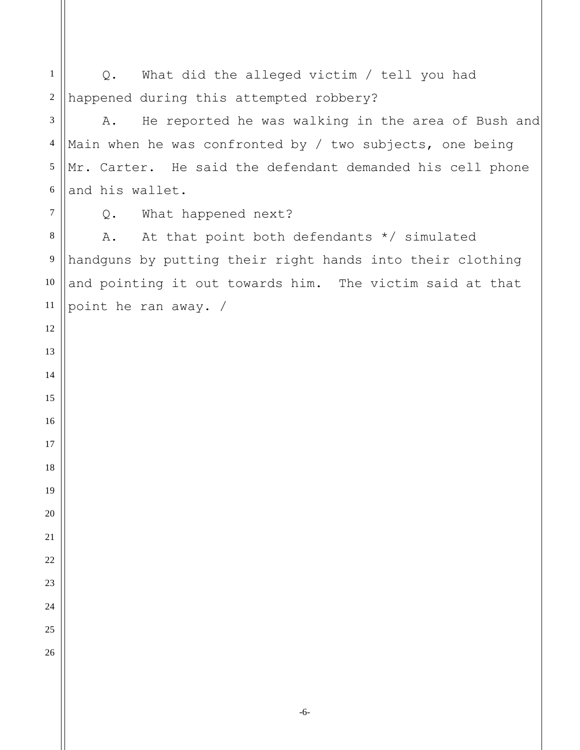Q. What did the alleged victim / tell you had happened during this attempted robbery? A. He reported he was walking in the area of Bush and Main when he was confronted by / two subjects, one being Mr. Carter. He said the defendant demanded his cell phone and his wallet. Q. What happened next? A. At that point both defendants \*/ simulated handguns by putting their right hands into their clothing and pointing it out towards him. The victim said at that point he ran away. /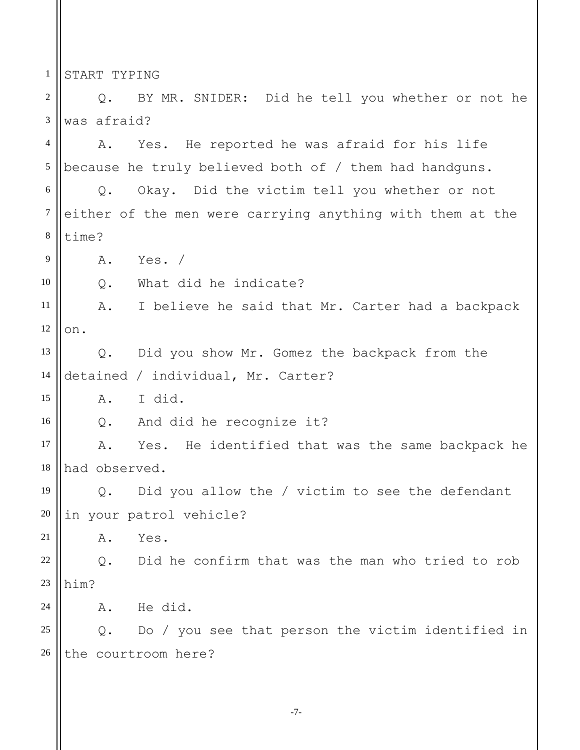1 START TYPING

2 3 Q. BY MR. SNIDER: Did he tell you whether or not he was afraid?

4 5 A. Yes. He reported he was afraid for his life because he truly believed both of / them had handguns.

6 7 8 Q. Okay. Did the victim tell you whether or not either of the men were carrying anything with them at the time?

9 A. Yes. /

10 Q. What did he indicate?

11 12 A. I believe he said that Mr. Carter had a backpack on.

13 14 Q. Did you show Mr. Gomez the backpack from the detained / individual, Mr. Carter?

15 A. I did.

16 Q. And did he recognize it?

17 18 A. Yes. He identified that was the same backpack he had observed.

19 20 Q. Did you allow the / victim to see the defendant in your patrol vehicle?

21 A. Yes.

22 23 Q. Did he confirm that was the man who tried to rob him?

24 A. He did.

25 26 Q. Do / you see that person the victim identified in the courtroom here?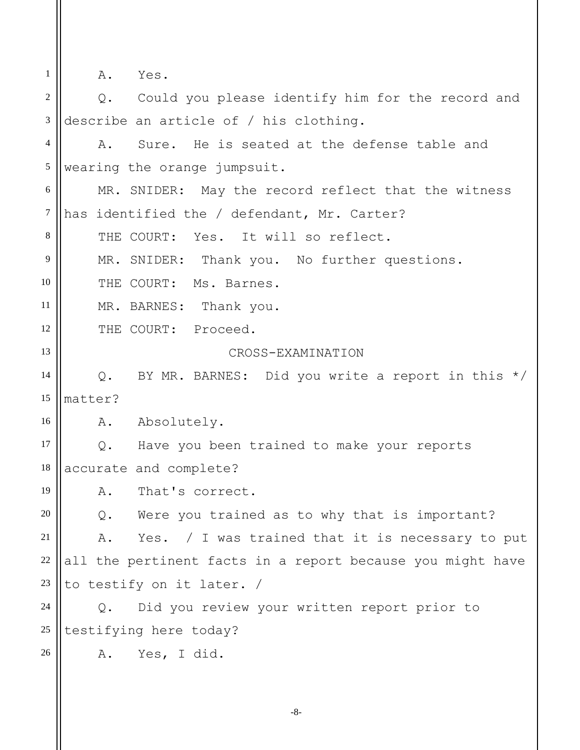1 2 3 4 5 6 7 8 9 10 11 12 13 14 15 16 17 18 19 20 21 22 A. Yes. Q. Could you please identify him for the record and describe an article of / his clothing. A. Sure. He is seated at the defense table and wearing the orange jumpsuit. MR. SNIDER: May the record reflect that the witness has identified the / defendant, Mr. Carter? THE COURT: Yes. It will so reflect. MR. SNIDER: Thank you. No further questions. THE COURT: Ms. Barnes. MR. BARNES: Thank you. THE COURT: Proceed. CROSS-EXAMINATION Q. BY MR. BARNES: Did you write a report in this \*/ matter? A. Absolutely. Q. Have you been trained to make your reports accurate and complete? A. That's correct. Q. Were you trained as to why that is important? A. Yes. / I was trained that it is necessary to put all the pertinent facts in a report because you might have

23 to testify on it later. /

24 25 Q. Did you review your written report prior to testifying here today?

26 A. Yes, I did.

-8-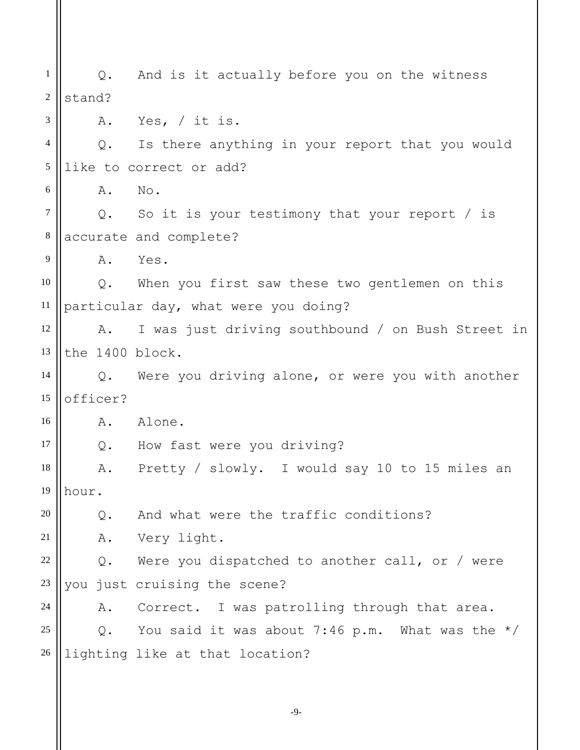1 2 3 4 5 6 7 8 9 10 11 12 13 14 15 16 17 18 19 20 21 22 23 24 25 26 Q. And is it actually before you on the witness stand? A. Yes, / it is. Q. Is there anything in your report that you would like to correct or add? A. No. Q. So it is your testimony that your report / is accurate and complete? A. Yes. Q. When you first saw these two gentlemen on this particular day, what were you doing? A. I was just driving southbound / on Bush Street in the 1400 block. Q. Were you driving alone, or were you with another officer? A. Alone. Q. How fast were you driving? A. Pretty / slowly. I would say 10 to 15 miles an hour. Q. And what were the traffic conditions? A. Very light. Q. Were you dispatched to another call, or / were you just cruising the scene? A. Correct. I was patrolling through that area. Q. You said it was about 7:46 p.m. What was the  $*/$ lighting like at that location?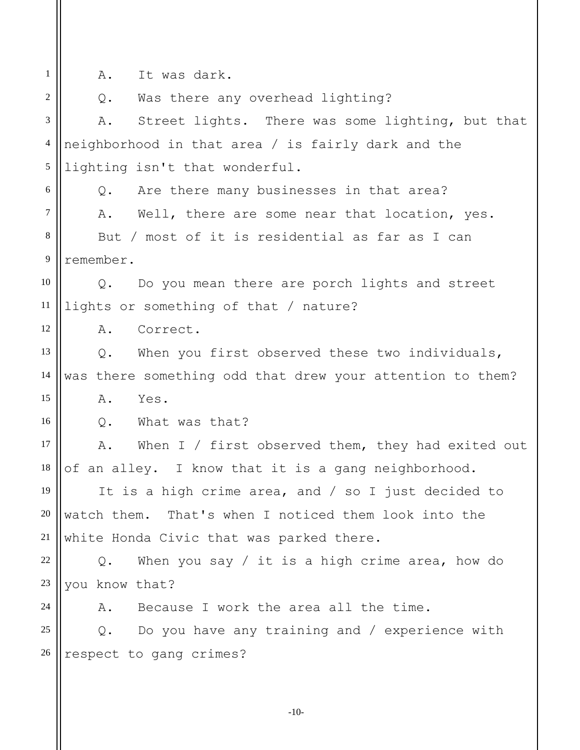A. It was dark.

1

2 3 4 5 6 7 8 9 10 11 12 13 14 15 16 17 18 19 20 21 22 23 24 25 26 Q. Was there any overhead lighting? A. Street lights. There was some lighting, but that neighborhood in that area / is fairly dark and the lighting isn't that wonderful. Q. Are there many businesses in that area? A. Well, there are some near that location, yes. But / most of it is residential as far as I can remember. Q. Do you mean there are porch lights and street lights or something of that / nature? A. Correct. Q. When you first observed these two individuals, was there something odd that drew your attention to them? A. Yes. Q. What was that? A. When I / first observed them, they had exited out of an alley. I know that it is a gang neighborhood. It is a high crime area, and / so I just decided to watch them. That's when I noticed them look into the white Honda Civic that was parked there. Q. When you say / it is a high crime area, how do you know that? A. Because I work the area all the time. Q. Do you have any training and / experience with respect to gang crimes?

-10-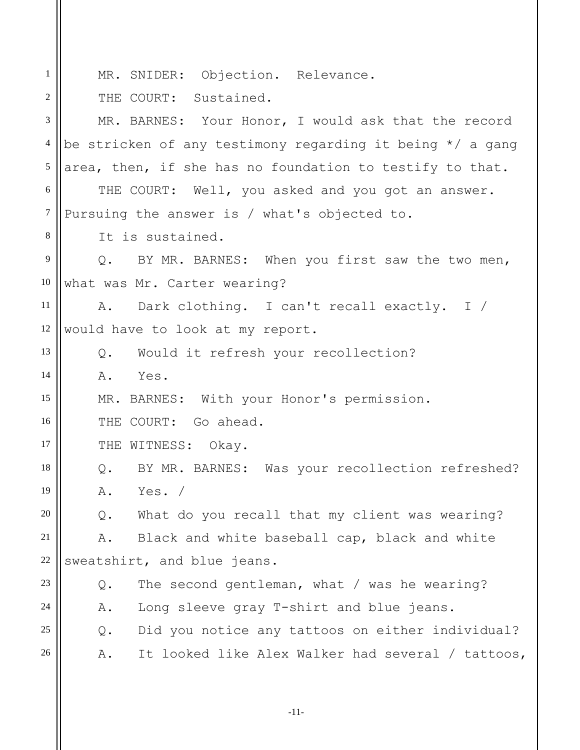| $\mathbf{1}$   | MR. SNIDER: Objection. Relevance.                           |
|----------------|-------------------------------------------------------------|
| 2              | THE COURT: Sustained.                                       |
| 3              | MR. BARNES: Your Honor, I would ask that the record         |
| $\overline{4}$ | be stricken of any testimony regarding it being $*/$ a gang |
| $\sqrt{5}$     | area, then, if she has no foundation to testify to that.    |
| 6              | THE COURT: Well, you asked and you got an answer.           |
| $\tau$         | Pursuing the answer is / what's objected to.                |
| 8              | It is sustained.                                            |
| $\overline{9}$ | Q. BY MR. BARNES: When you first saw the two men,           |
| 10             | what was Mr. Carter wearing?                                |
| 11             |                                                             |
|                | A. Dark clothing. I can't recall exactly. I /               |
| 12             | would have to look at my report.                            |
| 13             | Q. Would it refresh your recollection?                      |
| 14             | Yes.<br>A.                                                  |
| 15             | MR. BARNES: With your Honor's permission.                   |
| 16             | THE COURT: Go ahead.                                        |
| 17             | THE WITNESS: Okay.                                          |
| 18             | Q. BY MR. BARNES: Was your recollection refreshed?          |
| 19             | Yes. $/$<br>Α.                                              |
| 20             | What do you recall that my client was wearing?<br>Q.        |
| 21             | Black and white baseball cap, black and white<br>Α.         |
| 22             | sweatshirt, and blue jeans.                                 |
| 23             | The second gentleman, what / was he wearing?<br>Q.          |
| 24             | Long sleeve gray T-shirt and blue jeans.<br>Α.              |
| 25             | Did you notice any tattoos on either individual?<br>$Q$ .   |
| 26             | It looked like Alex Walker had several / tattoos,<br>Α.     |
|                |                                                             |

-11-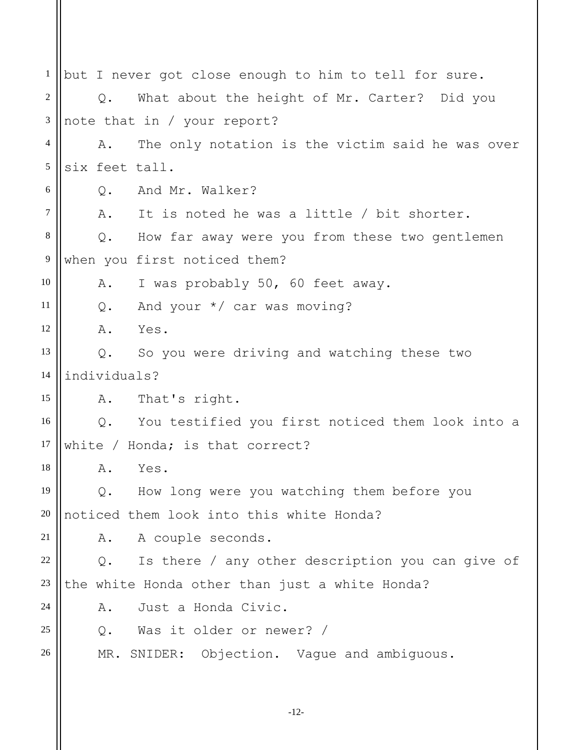1 2 3 4 5 6 7 8 9 10 11 12 13 14 15 16 17 18 19 20 21 22 23 24 25 26 but I never got close enough to him to tell for sure. Q. What about the height of Mr. Carter? Did you note that in / your report? A. The only notation is the victim said he was over six feet tall. Q. And Mr. Walker? A. It is noted he was a little / bit shorter. Q. How far away were you from these two gentlemen when you first noticed them? A. I was probably 50, 60 feet away. Q. And your \*/ car was moving? A. Yes. Q. So you were driving and watching these two individuals? A. That's right. Q. You testified you first noticed them look into a white / Honda; is that correct? A. Yes. Q. How long were you watching them before you noticed them look into this white Honda? A. A couple seconds. Q. Is there / any other description you can give of the white Honda other than just a white Honda? A. Just a Honda Civic. Q. Was it older or newer? / MR. SNIDER: Objection. Vague and ambiguous.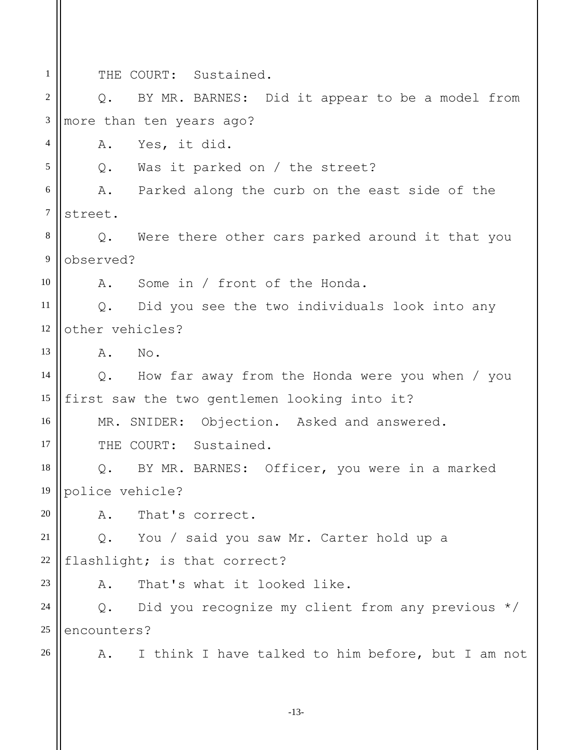1 2 3 4 5 6 7 8 9 10 11 12 13 14 15 16 17 18 19 20 21 22 23 24 25 26 THE COURT: Sustained. Q. BY MR. BARNES: Did it appear to be a model from more than ten years ago? A. Yes, it did. Q. Was it parked on / the street? A. Parked along the curb on the east side of the street. Q. Were there other cars parked around it that you observed? A. Some in / front of the Honda. Q. Did you see the two individuals look into any other vehicles? A. No. Q. How far away from the Honda were you when / you first saw the two gentlemen looking into it? MR. SNIDER: Objection. Asked and answered. THE COURT: Sustained. Q. BY MR. BARNES: Officer, you were in a marked police vehicle? A. That's correct. Q. You / said you saw Mr. Carter hold up a flashlight; is that correct? A. That's what it looked like. Q. Did you recognize my client from any previous \*/ encounters? A. I think I have talked to him before, but I am not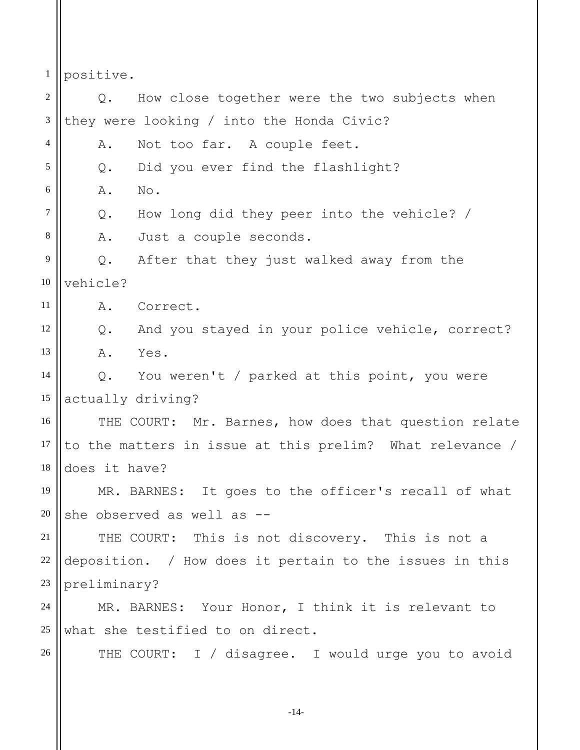1 positive.

2 3 4 5 6 7 8 9 10 11 12 13 14 15 16 17 18 19 20 21 22 23 24 25 26 Q. How close together were the two subjects when they were looking / into the Honda Civic? A. Not too far. A couple feet. Q. Did you ever find the flashlight? A. No. Q. How long did they peer into the vehicle? / A. Just a couple seconds. Q. After that they just walked away from the vehicle? A. Correct. Q. And you stayed in your police vehicle, correct? A. Yes. Q. You weren't / parked at this point, you were actually driving? THE COURT: Mr. Barnes, how does that question relate to the matters in issue at this prelim? What relevance / does it have? MR. BARNES: It goes to the officer's recall of what she observed as well as -- THE COURT: This is not discovery. This is not a deposition. / How does it pertain to the issues in this preliminary? MR. BARNES: Your Honor, I think it is relevant to what she testified to on direct. THE COURT: I / disagree. I would urge you to avoid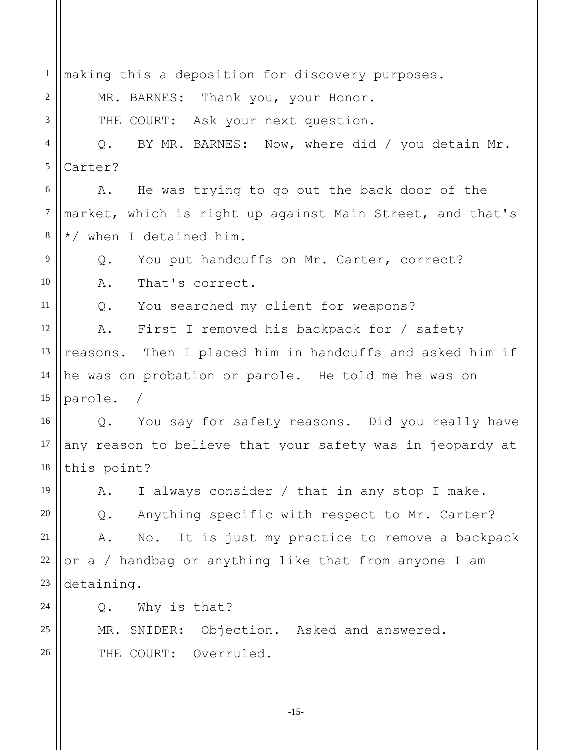1 2 3 4 5 6 7 8 9 10 11 12 13 14 15 16 17 18 19 20 21 22 23 24 25 26 making this a deposition for discovery purposes. MR. BARNES: Thank you, your Honor. THE COURT: Ask your next question. Q. BY MR. BARNES: Now, where did / you detain Mr. Carter? A. He was trying to go out the back door of the market, which is right up against Main Street, and that's \*/ when I detained him. Q. You put handcuffs on Mr. Carter, correct? A. That's correct. Q. You searched my client for weapons? A. First I removed his backpack for / safety reasons. Then I placed him in handcuffs and asked him if he was on probation or parole. He told me he was on parole. Q. You say for safety reasons. Did you really have any reason to believe that your safety was in jeopardy at this point? A. I always consider / that in any stop I make. Q. Anything specific with respect to Mr. Carter? A. No. It is just my practice to remove a backpack or a / handbag or anything like that from anyone I am detaining. Q. Why is that? MR. SNIDER: Objection. Asked and answered. THE COURT: Overruled.

-15-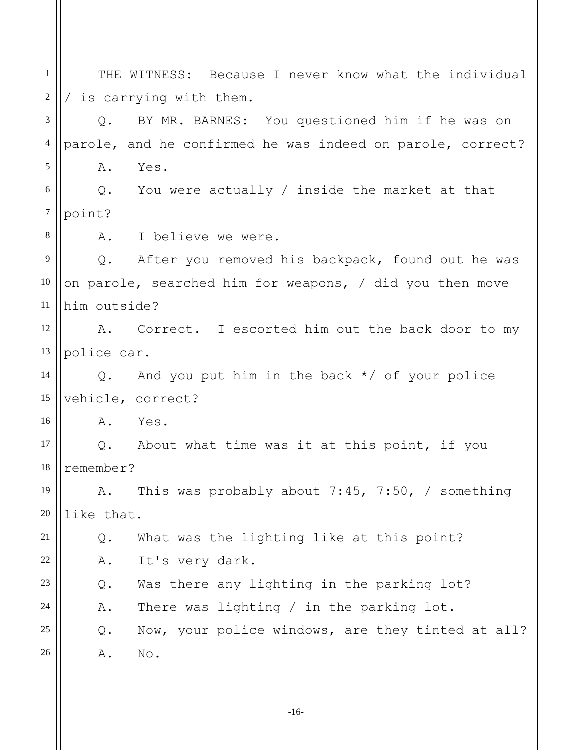1 2 3 4 5 6 7 8 9 10 11 12 13 14 15 16 17 18 19 20 21 22 23 24 25 26 THE WITNESS: Because I never know what the individual / is carrying with them. Q. BY MR. BARNES: You questioned him if he was on parole, and he confirmed he was indeed on parole, correct? A. Yes. Q. You were actually / inside the market at that point? A. I believe we were. Q. After you removed his backpack, found out he was on parole, searched him for weapons, / did you then move him outside? A. Correct. I escorted him out the back door to my police car. Q. And you put him in the back \*/ of your police vehicle, correct? A. Yes. Q. About what time was it at this point, if you remember? A. This was probably about 7:45, 7:50, / something like that. Q. What was the lighting like at this point? A. It's very dark. Q. Was there any lighting in the parking lot? A. There was lighting / in the parking lot. Q. Now, your police windows, are they tinted at all? A. No.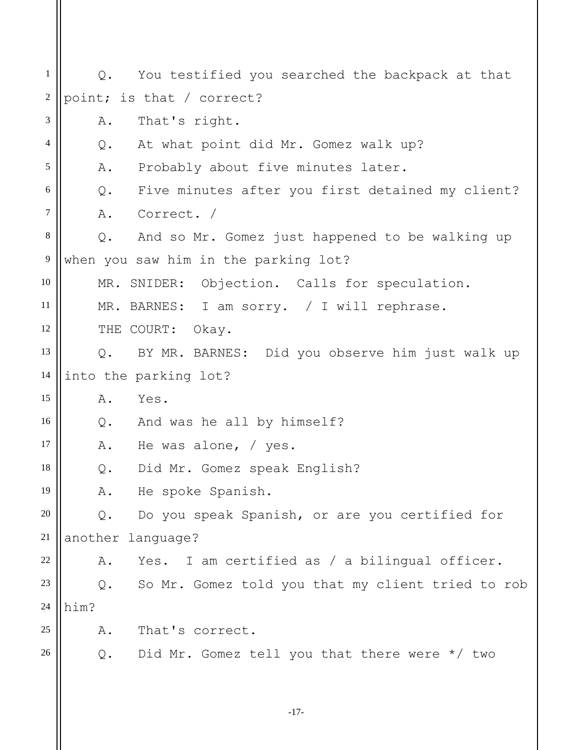1 2 3 4 5 6 7 8 9 10 11 12 13 14 15 16 17 18 19 20 21 22 23 24 25 26 Q. You testified you searched the backpack at that point; is that / correct? A. That's right. Q. At what point did Mr. Gomez walk up? A. Probably about five minutes later. Q. Five minutes after you first detained my client? A. Correct. / Q. And so Mr. Gomez just happened to be walking up when you saw him in the parking lot? MR. SNIDER: Objection. Calls for speculation. MR. BARNES: I am sorry. / I will rephrase. THE COURT: Okay. Q. BY MR. BARNES: Did you observe him just walk up into the parking lot? A. Yes. Q. And was he all by himself? A. He was alone, / yes. Q. Did Mr. Gomez speak English? A. He spoke Spanish. Q. Do you speak Spanish, or are you certified for another language? A. Yes. I am certified as / a bilingual officer. Q. So Mr. Gomez told you that my client tried to rob him? A. That's correct. Q. Did Mr. Gomez tell you that there were \*/ two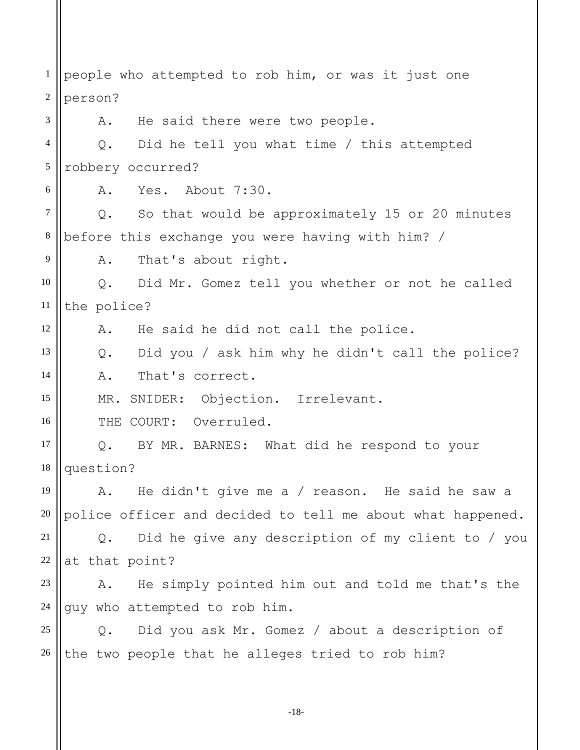1 2 3 4 5 6 7 8 9 10 11 12 13 14 15 16 17 18 19 20 21 22 23 24 25 26 people who attempted to rob him, or was it just one person? A. He said there were two people. Q. Did he tell you what time / this attempted robbery occurred? A. Yes. About 7:30. Q. So that would be approximately 15 or 20 minutes before this exchange you were having with him? / A. That's about right. Q. Did Mr. Gomez tell you whether or not he called the police? A. He said he did not call the police. Q. Did you / ask him why he didn't call the police? A. That's correct. MR. SNIDER: Objection. Irrelevant. THE COURT: Overruled. Q. BY MR. BARNES: What did he respond to your question? A. He didn't give me a / reason. He said he saw a police officer and decided to tell me about what happened. Q. Did he give any description of my client to / you at that point? A. He simply pointed him out and told me that's the guy who attempted to rob him. Q. Did you ask Mr. Gomez / about a description of the two people that he alleges tried to rob him?

-18-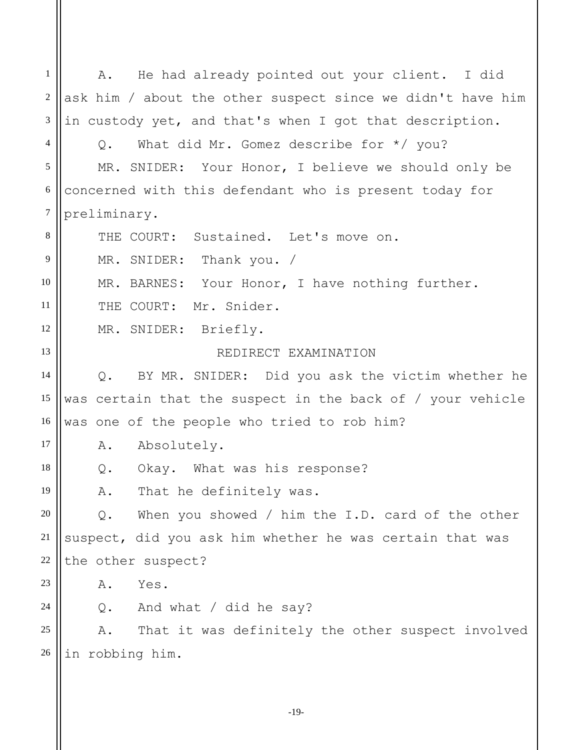1 2 3 4 5 6 7 8 9 10 11 12 13 14 15 16 17 18 19 20 21 22 23 24 25 26 A. He had already pointed out your client. I did ask him / about the other suspect since we didn't have him in custody yet, and that's when I got that description. Q. What did Mr. Gomez describe for \*/ you? MR. SNIDER: Your Honor, I believe we should only be concerned with this defendant who is present today for preliminary. THE COURT: Sustained. Let's move on. MR. SNIDER: Thank you. / MR. BARNES: Your Honor, I have nothing further. THE COURT: Mr. Snider. MR. SNIDER: Briefly. REDIRECT EXAMINATION Q. BY MR. SNIDER: Did you ask the victim whether he was certain that the suspect in the back of / your vehicle was one of the people who tried to rob him? A. Absolutely. Q. Okay. What was his response? A. That he definitely was. Q. When you showed / him the I.D. card of the other suspect, did you ask him whether he was certain that was the other suspect? A. Yes. Q. And what / did he say? A. That it was definitely the other suspect involved in robbing him.